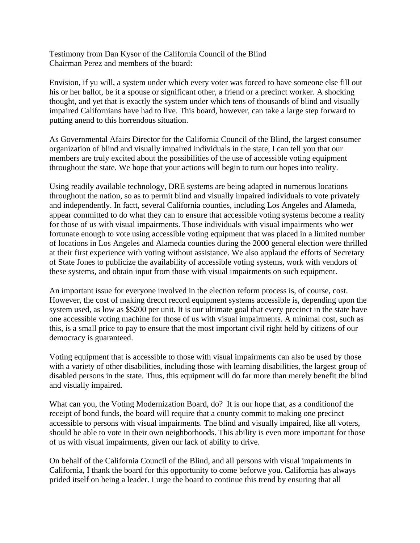Testimony from Dan Kysor of the California Council of the Blind Chairman Perez and members of the board:

Envision, if yu will, a system under which every voter was forced to have someone else fill out his or her ballot, be it a spouse or significant other, a friend or a precinct worker. A shocking thought, and yet that is exactly the system under which tens of thousands of blind and visually impaired Californians have had to live. This board, however, can take a large step forward to putting anend to this horrendous situation.

As Governmental Afairs Director for the California Council of the Blind, the largest consumer organization of blind and visually impaired individuals in the state, I can tell you that our members are truly excited about the possibilities of the use of accessible voting equipment throughout the state. We hope that your actions will begin to turn our hopes into reality.

Using readily available technology, DRE systems are being adapted in numerous locations throughout the nation, so as to permit blind and visually impaired individuals to vote privately and independently. In factt, several California counties, including Los Angeles and Alameda, appear committed to do what they can to ensure that accessible voting systems become a reality for those of us with visual impairments. Those individuals with visual impairments who wer fortunate enough to vote using accessible voting equipment that was placed in a limited number of locations in Los Angeles and Alameda counties during the 2000 general election were thrilled at their first experience with voting without assistance. We also applaud the efforts of Secretary of State Jones to publicize the availability of accessible voting systems, work with vendors of these systems, and obtain input from those with visual impairments on such equipment.

An important issue for everyone involved in the election reform process is, of course, cost. However, the cost of making drecct record equipment systems accessible is, depending upon the system used, as low as \$\$200 per unit. It is our ultimate goal that every precinct in the state have one accessible voting machine for those of us with visual impairments. A minimal cost, such as this, is a small price to pay to ensure that the most important civil right held by citizens of our democracy is guaranteed.

Voting equipment that is accessible to those with visual impairments can also be used by those with a variety of other disabilities, including those with learning disabilities, the largest group of disabled persons in the state. Thus, this equipment will do far more than merely benefit the blind and visually impaired.

What can you, the Voting Modernization Board, do? It is our hope that, as a conditionof the receipt of bond funds, the board will require that a county commit to making one precinct accessible to persons with visual impairments. The blind and visually impaired, like all voters, should be able to vote in their own neighborhoods. This ability is even more important for those of us with visual impairments, given our lack of ability to drive.

On behalf of the California Council of the Blind, and all persons with visual impairments in California, I thank the board for this opportunity to come beforwe you. California has always prided itself on being a leader. I urge the board to continue this trend by ensuring that all